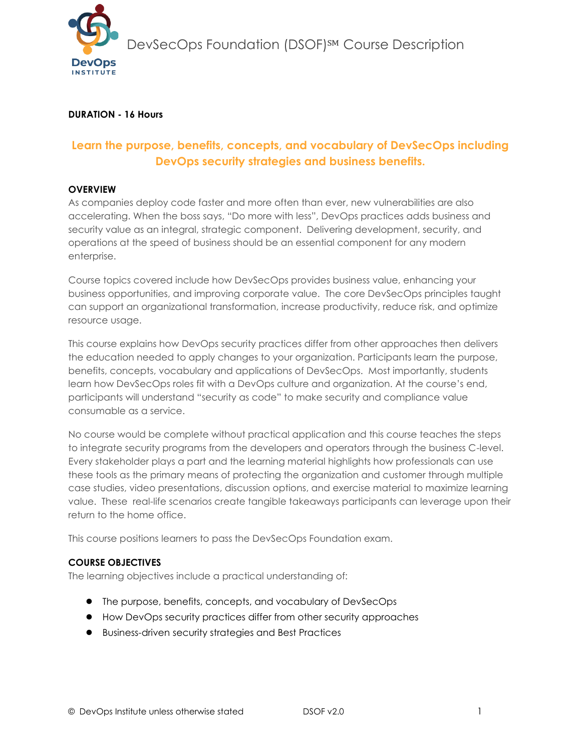

### **DURATION - 16 Hours**

# **Learn the purpose, benefits, concepts, and vocabulary of DevSecOps including DevOps security strategies and business benefits.**

#### **OVERVIEW**

As companies deploy code faster and more often than ever, new vulnerabilities are also accelerating. When the boss says, "Do more with less", DevOps practices adds business and security value as an integral, strategic component. Delivering development, security, and operations at the speed of business should be an essential component for any modern enterprise.

Course topics covered include how DevSecOps provides business value, enhancing your business opportunities, and improving corporate value. The core DevSecOps principles taught can support an organizational transformation, increase productivity, reduce risk, and optimize resource usage.

This course explains how DevOps security practices differ from other approaches then delivers the education needed to apply changes to your organization. Participants learn the purpose, benefits, concepts, vocabulary and applications of DevSecOps. Most importantly, students learn how DevSecOps roles fit with a DevOps culture and organization. At the course's end, participants will understand "security as code" to make security and compliance value consumable as a service.

No course would be complete without practical application and this course teaches the steps to integrate security programs from the developers and operators through the business C-level. Every stakeholder plays a part and the learning material highlights how professionals can use these tools as the primary means of protecting the organization and customer through multiple case studies, video presentations, discussion options, and exercise material to maximize learning value. These real-life scenarios create tangible takeaways participants can leverage upon their return to the home office.

This course positions learners to pass the DevSecOps Foundation exam.

### **COURSE OBJECTIVES**

The learning objectives include a practical understanding of:

- The purpose, benefits, concepts, and vocabulary of DevSecOps
- How DevOps security practices differ from other security approaches
- Business-driven security strategies and Best Practices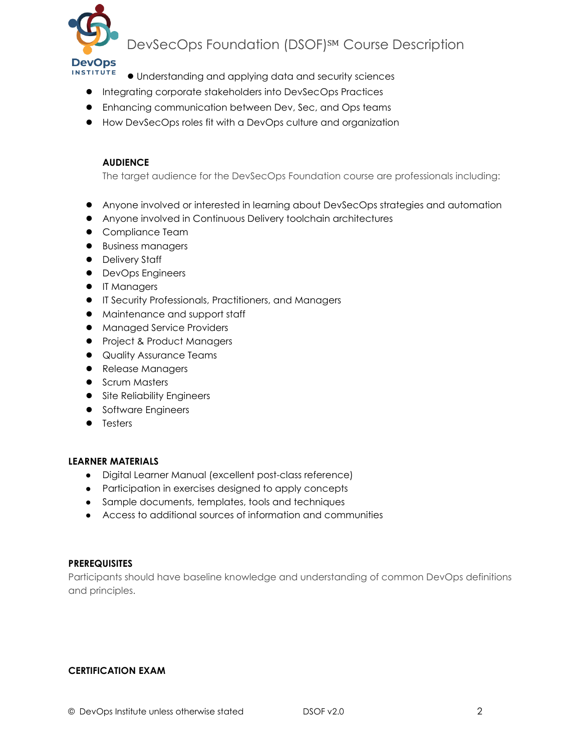

# DevSecOps Foundation (DSOF)<sup>SM</sup> Course Description

- Understanding and applying data and security sciences
- Integrating corporate stakeholders into DevSecOps Practices
- Enhancing communication between Dev, Sec, and Ops teams
- How DevSecOps roles fit with a DevOps culture and organization

### **AUDIENCE**

The target audience for the DevSecOps Foundation course are professionals including:

- Anyone involved or interested in learning about DevSecOps strategies and automation
- Anyone involved in Continuous Delivery toolchain architectures
- Compliance Team
- Business managers
- Delivery Staff
- DevOps Engineers
- IT Managers
- IT Security Professionals, Practitioners, and Managers
- Maintenance and support staff
- Managed Service Providers
- Project & Product Managers
- Quality Assurance Teams
- Release Managers
- Scrum Masters
- Site Reliability Engineers
- Software Engineers
- Testers

#### **LEARNER MATERIALS**

- Digital Learner Manual (excellent post-class reference)
- Participation in exercises designed to apply concepts
- Sample documents, templates, tools and techniques
- Access to additional sources of information and communities

#### **PREREQUISITES**

Participants should have baseline knowledge and understanding of common DevOps definitions and principles.

#### **CERTIFICATION EXAM**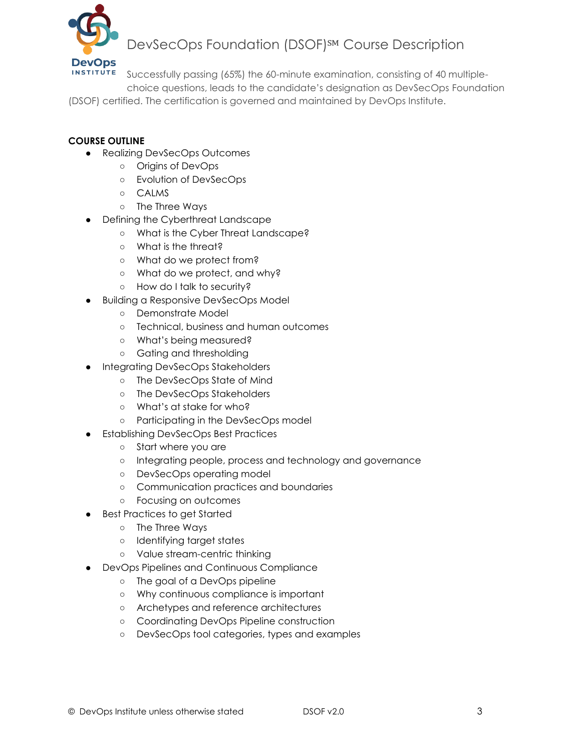

# DevSecOps Foundation (DSOF)<sup>SM</sup> Course Description

Successfully passing (65%) the 60-minute examination, consisting of 40 multiple-

choice questions, leads to the candidate's designation as DevSecOps Foundation

(DSOF) certified. The certification is governed and maintained by DevOps Institute.

## **COURSE OUTLINE**

- Realizing DevSecOps Outcomes
	- Origins of DevOps
	- Evolution of DevSecOps
	- CALMS
	- The Three Ways
- **Defining the Cyberthreat Landscape** 
	- What is the Cyber Threat Landscape?
	- What is the threat?
	- What do we protect from?
	- What do we protect, and why?
	- How do I talk to security?
- Building a Responsive DevSecOps Model
	- Demonstrate Model
	- Technical, business and human outcomes
	- What's being measured?
	- Gating and thresholding
- Integrating DevSecOps Stakeholders
	- The DevSecOps State of Mind
	- The DevSecOps Stakeholders
	- What's at stake for who?
	- Participating in the DevSecOps model
- **Establishing DevSecOps Best Practices** 
	- Start where you are
	- Integrating people, process and technology and governance
	- DevSecOps operating model
	- Communication practices and boundaries
	- Focusing on outcomes
- Best Practices to get Started
	- The Three Ways
	- Identifying target states
	- Value stream-centric thinking
- DevOps Pipelines and Continuous Compliance
	- The goal of a DevOps pipeline
	- Why continuous compliance is important
	- Archetypes and reference architectures
	- Coordinating DevOps Pipeline construction
	- DevSecOps tool categories, types and examples